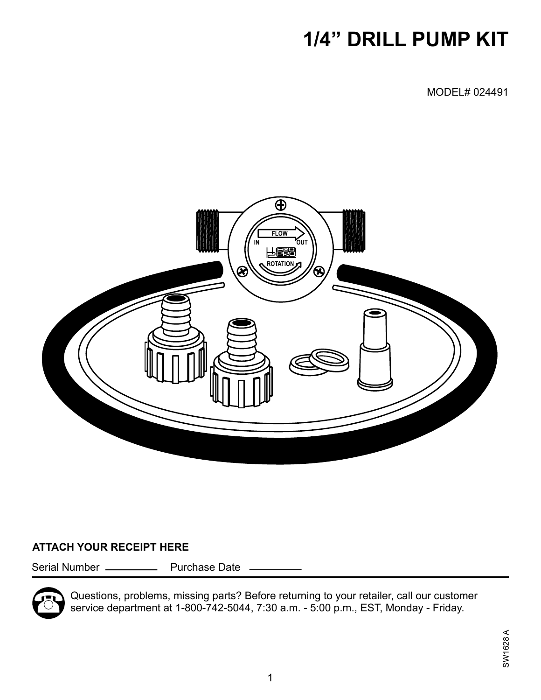# **1/4" DRILL PUMP KIT**

MODEL# 024491



#### **ATTACH YOUR RECEIPT HERE**

Serial Number \_\_\_\_\_\_\_\_\_\_\_\_ Purchase Date \_



Questions, problems, missing parts? Before returning to your retailer, call our customer service department at 1-800-742-5044, 7:30 a.m. - 5:00 p.m., EST, Monday - Friday.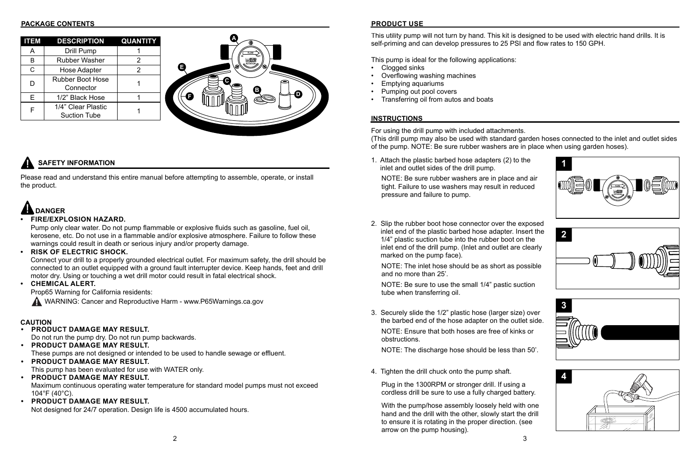## **SAFETY INFORMATION**

### **CAUTION**

Please read and understand this entire manual before attempting to assemble, operate, or install the product.

This utility pump will not turn by hand. This kit is designed to be used with electric hand drills. It is self-priming and can develop pressures to 25 PSI and flow rates to 150 GPH.

This pump is ideal for the following applications:

- Clogged sinks
- Overflowing washing machines
- Emptying aquariums
- Pumping out pool covers
- Transferring oil from autos and boats

For using the drill pump with included attachments. (This drill pump may also be used with standard garden hoses connected to the inlet and outlet sides of the pump. NOTE: Be sure rubber washers are in place when using garden hoses).

#### **• PRODUCT DAMAGE MAY RESULT.**

Do not run the pump dry. Do not run pump backwards.

- **• PRODUCT DAMAGE MAY RESULT.** These pumps are not designed or intended to be used to handle sewage or effluent.
- **• PRODUCT DAMAGE MAY RESULT.** This pump has been evaluated for use with WATER only.
- **• PRODUCT DAMAGE MAY RESULT.** Maximum continuous operating water temperature for standard model pumps must not exceed 104°F (40°C).
- **• PRODUCT DAMAGE MAY RESULT.**

Not designed for 24/7 operation. Design life is 4500 accumulated hours.

## **DANGER**

#### **• FIRE/EXPLOSION HAZARD.**

Pump only clear water. Do not pump flammable or explosive fluids such as gasoline, fuel oil, kerosene, etc. Do not use in a flammable and/or explosive atmosphere. Failure to follow these warnings could result in death or serious injury and/or property damage.

#### **• RISK OF ELECTRIC SHOCK.**

Connect your drill to a properly grounded electrical outlet. For maximum safety, the drill should be connected to an outlet equipped with a ground fault interrupter device. Keep hands, feet and drill motor dry. Using or touching a wet drill motor could result in fatal electrical shock.

### **• CHEMICAL ALERT.**

Prop65 Warning for California residents:

WARNING: Cancer and Reproductive Harm - www.P65Warnings.ca.gov

#### **PACKAGE CONTENTS PRODUCT USE**

| <b>ITEM</b>  | <b>DESCRIPTION</b>                        | <b>QUANTITY</b> |
|--------------|-------------------------------------------|-----------------|
| A            | Drill Pump                                |                 |
| B            | <b>Rubber Washer</b>                      | 2               |
| $\mathsf{C}$ | <b>Hose Adapter</b>                       | $\mathcal{P}$   |
| D            | <b>Rubber Boot Hose</b><br>Connector      |                 |
| E            | 1/2" Black Hose                           |                 |
|              | 1/4" Clear Plastic<br><b>Suction Tube</b> |                 |

#### **INSTRUCTIONS**







1. Attach the plastic barbed hose adapters (2) to the inlet and outlet sides of the drill pump.

NOTE: Be sure rubber washers are in place and air tight. Failure to use washers may result in reduced pressure and failure to pump.

2. Slip the rubber boot hose connector over the exposed inlet end of the plastic barbed hose adapter. Insert the 1/4" plastic suction tube into the rubber boot on the inlet end of the drill pump. (Inlet and outlet are clearly marked on the pump face).

**FLOW** NOTE: Ensure that both hoses are free of kinks or 3. Securely slide the 1/2" plastic hose (larger size) over the barbed end of the hose adapter on the outlet side. obstructions.

NOTE: The discharge hose should be less than 50'.



NOTE: The inlet hose should be as short as possible and no more than 25'.

NOTE: Be sure to use the small 1/4" pastic suction tube when transferring oil.

4. Tighten the drill chuck onto the pump shaft.

Plug in the 1300RPM or stronger drill. If using a cordless drill be sure to use a fully charged battery.

With the pump/hose assembly loosely held with one hand and the drill with the other, slowly start the drill to ensure it is rotating in the proper direction. (see arrow on the pump housing).

- 
- 

- 
- 

- 
- 
-